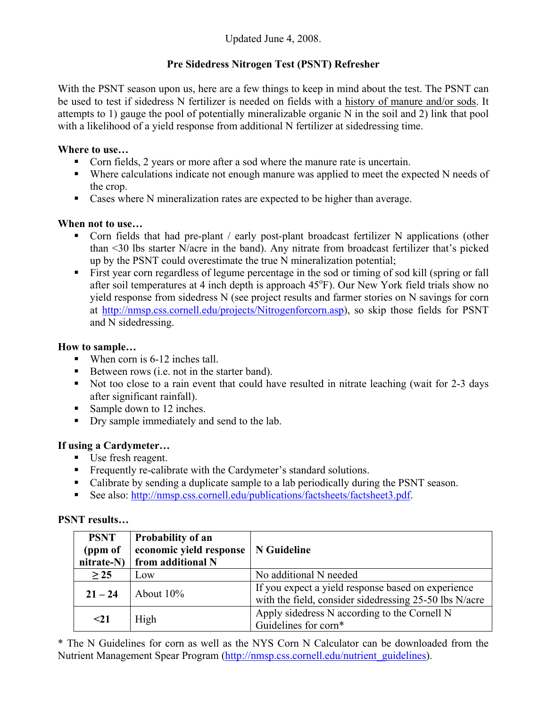# **Pre Sidedress Nitrogen Test (PSNT) Refresher**

With the PSNT season upon us, here are a few things to keep in mind about the test. The PSNT can be used to test if sidedress N fertilizer is needed on fields with a history of manure and/or sods. It attempts to 1) gauge the pool of potentially mineralizable organic N in the soil and 2) link that pool with a likelihood of a yield response from additional N fertilizer at sidedressing time.

#### **Where to use…**

- Corn fields, 2 years or more after a sod where the manure rate is uncertain.
- Where calculations indicate not enough manure was applied to meet the expected N needs of the crop.
- Cases where N mineralization rates are expected to be higher than average.

## **When not to use…**

- Corn fields that had pre-plant / early post-plant broadcast fertilizer N applications (other than <30 lbs starter N/acre in the band). Any nitrate from broadcast fertilizer that's picked up by the PSNT could overestimate the true N mineralization potential;
- First year corn regardless of legume percentage in the sod or timing of sod kill (spring or fall after soil temperatures at 4 inch depth is approach 45°F). Our New York field trials show no yield response from sidedress N (see project results and farmer stories on N savings for corn at http://nmsp.css.cornell.edu/projects/Nitrogenforcorn.asp), so skip those fields for PSNT and N sidedressing.

## **How to sample…**

- When corn is 6-12 inches tall.
- Between rows  $(i.e. not in the starter band)$ .
- Not too close to a rain event that could have resulted in nitrate leaching (wait for 2-3 days after significant rainfall).
- Sample down to 12 inches.
- Dry sample immediately and send to the lab.

## **If using a Cardymeter…**

- Use fresh reagent.
- Frequently re-calibrate with the Cardymeter's standard solutions.
- Calibrate by sending a duplicate sample to a lab periodically during the PSNT season.
- See also: http://nmsp.css.cornell.edu/publications/factsheets/factsheet3.pdf.

#### **PSNT results…**

| <b>PSNT</b><br>(ppm of<br>nitrate-N) | <b>Probability of an</b><br>economic yield response<br>from additional N | N Guideline                                                                                                  |
|--------------------------------------|--------------------------------------------------------------------------|--------------------------------------------------------------------------------------------------------------|
| $\geq$ 25                            | Low                                                                      | No additional N needed                                                                                       |
| $21 - 24$                            | About $10\%$                                                             | If you expect a yield response based on experience<br>with the field, consider sidedressing 25-50 lbs N/acre |
| $21$                                 | High                                                                     | Apply sidedress N according to the Cornell N<br>Guidelines for corn*                                         |

\* The N Guidelines for corn as well as the NYS Corn N Calculator can be downloaded from the Nutrient Management Spear Program (http://nmsp.css.cornell.edu/nutrient\_guidelines).